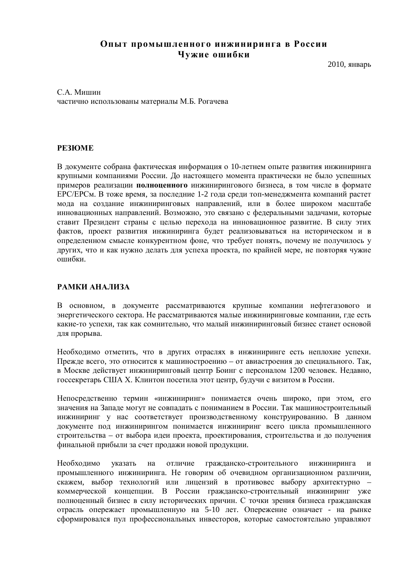# Опыт промышленного инжиниринга в России Чужие ошибки

 $2010$ , январь

С.А. Мишин частично использованы материалы М.Б. Рогачева

### **PE3IOME**

В документе собрана фактическая информация о 10-летнем опыте развития инжиниринга крупными компаниями России. До настоящего момента практически не было успешных примеров реализации **полноценного** инжинирингового бизнеса, в том числе в формате ЕРС/ЕРСм. В тоже время, за последние 1-2 года среди топ-менеджмента компаний растет мода на создание инжиниринговых направлений, или в более широком масштабе инновационных направлений. Возможно, это связано с фелеральными залачами, которые ставит Президент страны с целью перехода на инновационное развитие. В силу этих фактов, проект развития инжиниринга будет реализовываться на историческом и в определенном смысле конкурентном фоне, что требует понять, почему не получилось у других, что и как нужно делать для успеха проекта, по крайней мере, не повторяя чужие ошибки.

### РАМКИ АНАЛИЗА

В основном, в документе рассматриваются крупные компании нефтегазового и энергетического сектора. Не рассматриваются малые инжиниринговые компании, где есть какие-то успехи, так как сомнительно, что малый инжиниринговый бизнес станет основой для прорыва.

Необходимо отметить, что в других отраслях в инжиниринге есть неплохие успехи. Прежде всего, это относится к машиностроению – от авиастроения до специального. Так, в Москве действует инжиниринговый центр Боинг с персоналом 1200 человек. Недавно, госсекретарь США Х. Клинтон посетила этот центр, будучи с визитом в России.

Непосредственно термин «инжиниринг» понимается очень широко, при этом, его значения на Западе могут не совпадать с пониманием в России. Так машиностроительный инжиниринг у нас соответствует производственному конструированию. В данном документе под инжинирингом понимается инжиниринг всего цикла промышленного строительства – от выбора идеи проекта, проектирования, строительства и до получения финальной прибыли за счет продажи новой продукции.

Необходимо указать на отличие гражданско-строительного инжиниринга и промышленного инжиниринга. Не говорим об очевидном организационном различии, скажем, выбор технологий или лицензий в противовес выбору архитектурно – коммерческой концепции. В России гражданско-строительный инжиниринг уже полноценный бизнес в силу исторических причин. С точки зрения бизнеса гражданская отрасль опережает промышленную на 5-10 лет. Опережение означает - на рынке сформировался пул профессиональных инвесторов, которые самостоятельно управляют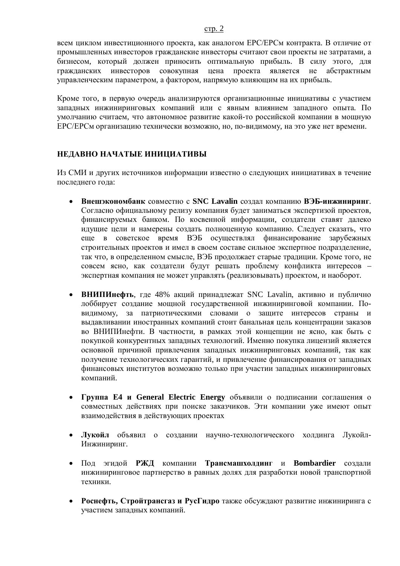всем циклом инвестиционного проекта, как аналогом ЕРС/ЕРСм контракта. В отличие от промышленных инвесторов гражданские инвесторы считают свои проекты не затратами, а бизнесом, который должен приносить оптимальную прибыль. В силу этого, для гражланских инвесторов совокупная цена проекта является не абстрактным управленческим параметром, а фактором, напрямую влияющим на их прибыль.

Кроме того, в первую очередь анализируются организационные инициативы с участием западных инжиниринговых компаний или с явным влиянием западного опыта. По умолчанию считаем, что автономное развитие какой-то российской компании в мощную ЕРС/ЕРСм организацию технически возможно, но, по-видимому, на это уже нет времени.

# НЕДАВНО НАЧАТЫЕ ИНИЦИАТИВЫ

Из СМИ и других источников информации известно о следующих инициативах в течение последнего года:

- Внешэкономбанк совместно с SNC Lavalin создал компанию ВЭБ-инжиниринг. Согласно официальному релизу компания будет заниматься экспертизой проектов, финансируемых банком. По косвенной информации, создатели ставят далеко идущие цели и намерены создать полноценную компанию. Следует сказать, что еще в советское время ВЭБ осуществлял финансирование зарубежных строительных проектов и имел в своем составе сильное экспертное подразделение. так что, в определенном смысле, ВЭБ продолжает старые традиции. Кроме того, не совсем ясно, как создатели будут решать проблему конфликта интересов – экспертная компания не может управлять (реализовывать) проектом, и наоборот.
- ВНИПИнефть, где 48% акций принадлежат SNC Lavalin, активно и публично лоббирует создание мощной государственной инжиниринговой компании. Повидимому, за патриотическими словами о защите интересов страны и выдавливании иностранных компаний стоит банальная цель концентрации заказов во ВНИПИнефти. В частности, в рамках этой концепции не ясно, как быть с покупкой конкурентных западных технологий. Именно покупка лицензий является основной причиной привлечения западных инжиниринговых компаний, так как получение технологических гарантий, и привлечение финансирования от западных финансовых институтов возможно только при участии западных инжиниринговых компаний.
- **Группа E4 и General Electric Energy** объявили о подписании соглашения о совместных действиях при поиске заказчиков. Эти компании уже имеют опыт взаимодействия в действующих проектах
- Лукойл объявил о создании научно-технологического холдинга Лукойл-Инжиниринг.
- Под эгидой РЖД компании Трансмашхолдинг и Bombardier создали инжиниринговое партнерство в равных долях для разработки новой транспортной техники.
- **Роснефть, Стройтрансгаз и РусГидро** также обсуждают развитие инжиниринга с участием западных компаний.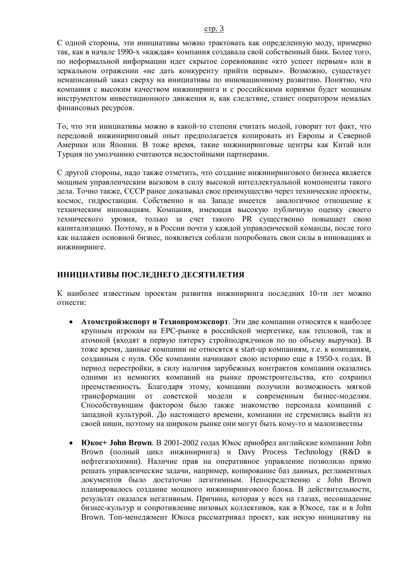#### c<sub>Tp</sub>. 3

С одной стороны, эти инициативы можно трактовать как определенную моду, примерно так, как в начале 1990-х «каждая» компания создавала свой собственный банк. Более того, по неформальной информации идет скрытое соревнование «кто успеет первым» или в зеркальном отражении «не дать конкуренту прийти первым». Возможно, существует ненаписанный заказ сверху на инициативы по инновационному развитию. Понятно, что компания с высоким качеством инжиниринга и с российскими корнями будет мощным инструментом инвестиционного движения и, как следствие, станет оператором немалых финансовых ресурсов.

То, что эти инициативы можно в какой-то степени считать модой, говорит тот факт, что передовой инжиниринговый опыт предполагается копировать из Европы и Северной Америки или Японии. В тоже время, такие инжиниринговые центры как Китай или Турция по умолчанию считаются недостойными партнерами.

С другой стороны, надо также отметить, что создание инжинирингового бизнеса является мощным управленческим вызовом в силу высокой интеллектуальной компоненты такого дела. Точно также, СССР ранее доказывал свое преимущество через технические проекты, космос, гидростанции. Собственно и на Западе имеется аналогичное отношение к техническим инновациям. Компания, имеющая высокую публичную оценку своего технического уровня, только за счет такого PR существенно повышает свою капитализацию. Поэтому, и в России почти у каждой управленческой команды, после того как налажен основной бизнес, появляется соблазн попробовать свои силы в инновациях и инжиниринге.

## ИНИЦИАТИВЫ ПОСЛЕДНЕГО ДЕСЯТИЛЕТИЯ

К наиболее известным проектам развития инжиниринга последних 10-ти лет можно отнести<sup>.</sup>

- **Атомстройэкспорт и Технопромэкспорт**. Эти две компании относятся к наиболее крупным игрокам на ЕРС-рынке в российской энергетике, как тепловой, так и атомной (входят в первую пятерку стройподрядчиков по по объему выручки). В тоже время, данные компании не относятся к start-up компаниям, т.е. к компаниям, созданным с нуля. Обе компании начинают свою историю еще в 1950-х годах. В период перестройки, в силу наличия зарубежных контрактов компании оказались одними из немногих компаний на рынке промстроительства, кто сохранил преемственность. Благодаря этому, компании получили возможность мягкой трансформации от советской молели к современным бизнес-молелям. Способствующим фактором было также знакомство персонала компаний с западной культурой. До настоящего времени, компании не стремились выйти из своей ниши, поэтому на широком рынке они могут быть кому-то и малоизвестны
- **Юкос + John Brown**. В 2001-2002 годах Юкос приобрел английские компании John Brown (полный цикл инжиниринга) и Davy Process Technology (R&D в нефтегазохимии). Наличие прав на оперативное управление позволило прямо решать управленческие задачи, например, копирование баз данных, регламентных документов было достаточно легитимным. Непосредственно с John Brown планировалось создание мощного инжинирингового блока. В действительности, результат оказался негативным. Причина, которая у всех на глазах, несовпадение бизнес-культур и сопротивление низовых коллективов, как в Юкосе, так и в John Brown. Топ-менеджмент Юкоса рассматривал проект, как некую инициативу на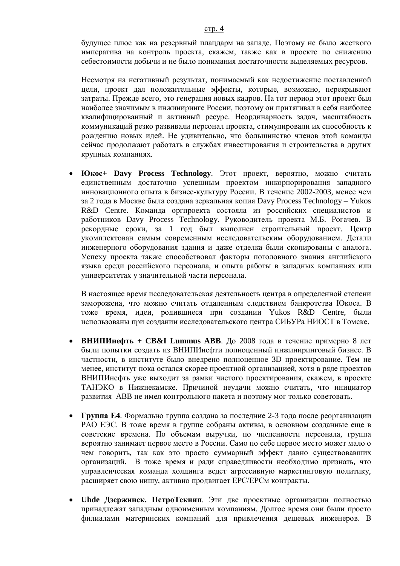будущее плюс как на резервный плацдарм на западе. Поэтому не было жесткого императива на контроль проекта, скажем, также как в проекте по снижению себестоимости добычи и не было понимания достаточности выделяемых ресурсов.

Несмотря на негативный результат, понимаемый как недостижение поставленной цели, проект дал положительные эффекты, которые, возможно, перекрывают затраты. Прежде всего, это генерация новых кадров. На тот период этот проект был наиболее значимым в инжиниринге России, поэтому он притягивал в себя наиболее квалифицированный и активный ресурс. Неординарность задач, масштабность коммуникаций резко развивали персонал проекта, стимулировали их способность к рождению новых идей. Не удивительно, что большинство членов этой команды сейчас продолжают работать в службах инвестирования и строительства в других крупных компаниях.

**Юкос+ Davy Process Technology**. Этот проект, вероятно, можно считать единственным достаточно успешным проектом инкорпорирования западного инновационного опыта в бизнес-культуру России. В течение 2002-2003, менее чем за 2 года в Москве была создана зеркальная копия Davy Process Technology – Yukos R&D Centre. Команда оргпроекта состояла из российских специалистов и работников Davy Process Technology. Руководитель проекта М.Б. Рогачев. В рекордные сроки, за 1 год был выполнен строительный проект. Центр укомплектован самым современным исследовательским оборудованием. Детали инженерного оборудования здания и даже отделка были скопированы с аналога. Успеху проекта также способствовал факторы поголовного знания английского языка среди российского персонала, и опыта работы в западных компаниях или университетах у значительной части персонала.

В настоящее время исследовательская деятельность центра в определенной степени заморожена, что можно считать отдаленным следствием банкротства Юкоса. В тоже время, идеи, родившиеся при создании Yukos R&D Centre, были использованы при создании исследовательского центра СИБУРа НИОСТ в Томске.

- **ВНИПИнефть + CB&I Lummus ABB.** До 2008 года в течение примерно 8 лет были попытки создать из ВНИПИнефти полноценный инжиниринговый бизнес. В частности, в институте было внедрено полноценное 3D проектирование. Тем не менее, институт пока остался скорее проектной организацией, хотя в ряде проектов ВНИПИнефть уже выходит за рамки чистого проектирования, скажем, в проекте ТАНЭКО в Нижнекамске. Причиной неудачи можно считать, что инициатор развития АВВ не имел контрольного пакета и поэтому мог только советовать.
- **Группа Е4.** Формально группа создана за последние 2-3 года после реорганизации РАО ЕЭС. В тоже время в группе собраны активы, в основном созданные еще в советские времена. По объемам выручки, по численности персонала, группа вероятно занимает первое место в России. Само по себе первое место может мало о чем говорить, так как это просто суммарный эффект давно существовавших организаций. В тоже время и ради справедливости необходимо признать, что управленческая команда холдинга ведет агрессивную маркетинговую политику, расширяет свою нишу, активно продвигает ЕРС/ЕРСм контракты.
- **Uhde Дзержинск. ПетроТекнип**. Эти две проектные организации полностью принадлежат западным одноименным компаниям. Долгое время они были просто филиалами материнских компаний для привлечения дешевых инженеров. В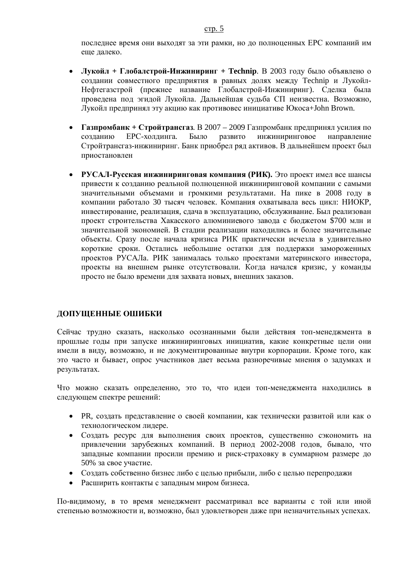последнее время они выходят за эти рамки, но до полноценных ЕРС компаний им еще далеко.

- Лукойл + Глобалстрой-Инжиниринг + Technip. В 2003 году было объявлено о создании совместного предприятия в равных долях между Technip и Лукойл-Нефтегазстрой (прежнее название Глобалстрой-Инжиниринг). Сделка была проведена под эгидой Лукойла. Дальнейшая судьба СП неизвестна. Возможно, Лукойл предпринял эту акцию как противовес инициативе Юкоса+John Brown.
- Газпромбанк + Стройтрансгаз. В 2007 2009 Газпромбанк предпринял усилия по созданию ЕРС-холдинга. Было развито инжиниринговое направление Стройтрансгаз-инжиниринг. Банк приобрел ряд активов. В дальнейшем проект был приостановлен
- **РУСАЛ-Русская инжиниринговая компания (РИК).** Это проект имел все шансы привести к созданию реальной полноценной инжиниринговой компании с самыми значительными объемами и громкими результатами. На пике в 2008 году в компании работало 30 тысяч человек. Компания охватывала весь цикл: НИОКР, инвестирование, реализация, сдача в эксплуатацию, обслуживание. Был реализован проект строительства Хакасского алюминиевого завода с бюджетом \$700 млн и значительной экономией. В стадии реализации находились и более значительные объекты. Сразу после начала кризиса РИК практически исчезла в удивительно короткие сроки. Остались небольшие остатки для поддержки замороженных проектов РУСАЛа. РИК занималась только проектами материнского инвестора, проекты на внешнем рынке отсутствовали. Когда начался кризис, у команды просто не было времени для захвата новых, внешних заказов.

### ДОПУЩЕННЫЕ ОШИБКИ

Сейчас трудно сказать, насколько осознанными были действия топ-менеджмента в прошлые годы при запуске инжиниринговых инициатив, какие конкретные цели они имели в виду, возможно, и не документированные внутри корпорации. Кроме того, как это часто и бывает, опрос участников дает весьма разноречивые мнения о задумках и результатах.

Что можно сказать определенно, это то, что идеи топ-менеджмента находились в следующем спектре решений:

- PR, создать представление о своей компании, как технически развитой или как о технологическом лидере.
- Создать ресурс для выполнения своих проектов, существенно сэкономить на привлечении зарубежных компаний. В период 2002-2008 годов, бывало, что западные компании просили премию и риск-страховку в суммарном размере до 50% за свое участие.
- Создать собственно бизнес либо с целью прибыли, либо с целью перепродажи
- Расширить контакты с западным миром бизнеса.

По-видимому, в то время менеджмент рассматривал все варианты с той или иной степенью возможности и, возможно, был удовлетворен даже при незначительных успехах.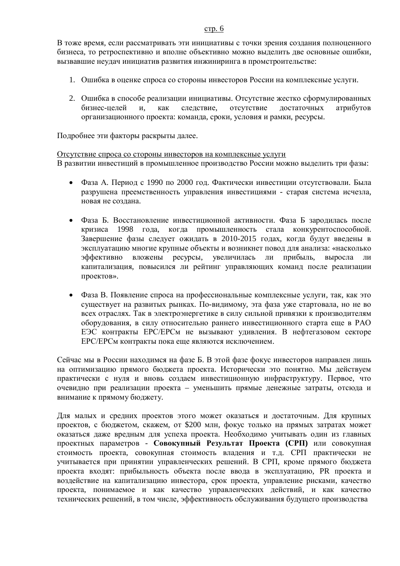#### c<sub>Tp</sub>. 6

В тоже время, если рассматривать эти инициативы с точки зрения создания полноценного бизнеса, то ретроспективно и вполне объективно можно выделить две основные ошибки, вызвавшие неудач инициатив развития инжиниринга в промстроительстве:

- 1. Ошибка в оценке спроса со стороны инвесторов России на комплексные услуги.
- 2. Ошибка в способе реализации инициативы. Отсутствие жестко сформулированных бизнес-целей и, как следствие, отсутствие достаточных атрибутов организационного проекта: команда, сроки, условия и рамки, ресурсы.

Подробнее эти факторы раскрыты далее.

Отсутствие спроса со стороны инвесторов на комплексные услуги В развитии инвестиций в промышленное производство России можно выделить три фазы:

- Фаза А. Период с 1990 по 2000 год. Фактически инвестиции отсутствовали. Была разрушена преемственность управления инвестициями - старая система исчезла, новая не создана.
- Фаза Б. Восстановление инвестиционной активности. Фаза Б зародилась после кризиса 1998 года, когда промышленность стала конкурентоспособной. Завершение фазы следует ожидать в 2010-2015 годах, когда будут введены в эксплуатацию многие крупные объекты и возникнет повод для анализа: «насколько эффективно вложены ресурсы, увеличилась ли прибыль, выросла ли капитализация, повысился ли рейтинг управляющих команд после реализации проектов».
- Фаза В. Появление спроса на профессиональные комплексные услуги, так, как это существует на развитых рынках. По-видимому, эта фаза уже стартовала, но не во всех отраслях. Так в электроэнергетике в силу сильной привязки к производителям оборудования, в силу относительно раннего инвестиционного старта еще в РАО ЕЭС контракты ЕРС/ЕРСм не вызывают удивления. В нефтегазовом секторе ЕРС/ЕРСм контракты пока еще являются исключением.

Сейчас мы в России нахолимся на фазе Б. В этой фазе фокус инвесторов направлен лишь на оптимизацию прямого бюджета проекта. Исторически это понятно. Мы действуем практически с нуля и вновь создаем инвестиционную инфраструктуру. Первое, что очевидно при реализации проекта – уменьшить прямые денежные затраты, отсюда и внимание к прямому бюджету.

Для малых и средних проектов этого может оказаться и достаточным. Для крупных проектов, с бюджетом, скажем, от \$200 млн, фокус только на прямых затратах может оказаться даже вредным для успеха проекта. Необходимо учитывать один из главных проектных параметров - Совокупный Результат Проекта (СРП) или совокупная стоимость проекта, совокупная стоимость владения и т.д. СРП практически не үчитывается при принятии управленческих решений. В СРП, кроме прямого бюджета проекта входят: прибыльность объекта после ввода в эксплуатацию, PR проекта и воздействие на капитализацию инвестора, срок проекта, управление рисками, качество проекта, понимаемое и как качество управленческих действий, и как качество технических решений, в том числе, эффективность обслуживания будущего производства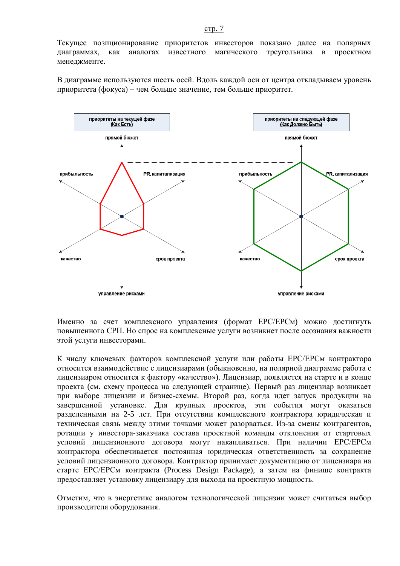Текущее позиционирование приоритетов инвесторов показано далее на полярных диаграммах, как аналогах известного магического треугольника в проектном менеджменте.

В диаграмме используются шесть осей. Вдоль каждой оси от центра откладываем уровень приоритета (фокуса) – чем больше значение, тем больше приоритет.



Именно за счет комплексного управления (формат ЕРС/ЕРСм) можно лостигнуть повышенного СРП. Но спрос на комплексные услуги возникнет после осознания важности этой услуги инвесторами.

К числу ключевых факторов комплексной услуги или работы ЕРС/ЕРСм контрактора относится взаимодействие с лицензиарами (обыкновенно, на полярной диаграмме работа с лицензиаром относится к фактору «качество»). Лицензиар, появляется на старте и в конце проекта (см. схему процесса на следующей странице). Первый раз лицензиар возникает при выборе лицензии и бизнес-схемы. Второй раз, когда илет запуск продукции на завершенной установке. Для крупных проектов, эти события могут оказаться разделенными на 2-5 лет. При отсутствии комплексного контрактора юридическая и техническая связь между этими точками может разорваться. Из-за смены контрагентов, ротации у инвестора-заказчика состава проектной команды отклонения от стартовых условий лицензионного договора могут накапливаться. При наличии ЕРС/ЕРСм контрактора обеспечивается постоянная юридическая ответственность за сохранение условий лицензионного договора. Контрактор принимает документацию от лицензиара на старте ЕРС/ЕРСм контракта (Process Design Package), а затем на финише контракта предоставляет установку лицензиару для выхода на проектную мощность.

Отметим, что в энергетике аналогом технологической лицензии может считаться выбор производителя оборудования.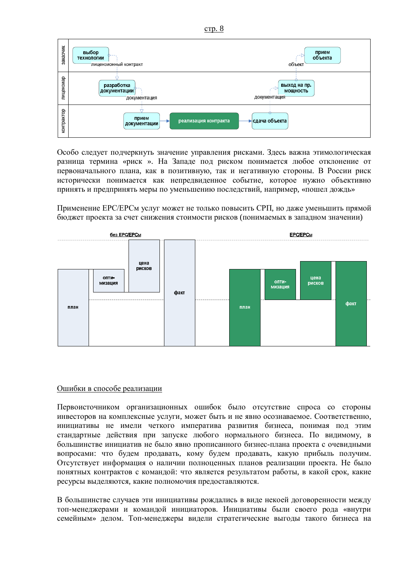

Особо следует подчеркнуть значение управления рисками. Здесь важна этимологическая разница термина «риск». На Западе под риском понимается любое отклонение от первоначального плана, как в позитивную, так и негативную стороны. В России риск исторически понимается как непредвиденное событие, которое нужно объективно принять и предпринять меры по уменьшению последствий, например, «пошел дождь»

Применение ЕРС/ЕРСм услуг может не только повысить СРП, но даже уменьшить прямой бюджет проекта за счет снижения стоимости рисков (понимаемых в западном значении)



### Ошибки в способе реализации

Первоисточником организационных ошибок было отсутствие спроса со стороны инвесторов на комплексные услуги, может быть и не явно осознаваемое. Соответственно, инициативы не имели четкого императива развития бизнеса, понимая под этим стандартные действия при запуске любого нормального бизнеса. По видимому, в большинстве инициатив не было явно прописанного бизнес-плана проекта с очевидными вопросами: что будем продавать, кому будем продавать, какую прибыль получим. Отсутствует информация о наличии полноценных планов реализации проекта. Не было понятных контрактов с командой: что является результатом работы, в какой срок, какие ресурсы выделяются, какие полномочия предоставляются.

В большинстве случаев эти инициативы рождались в виде некоей договоренности между топ-менеджерами и командой инициаторов. Инициативы были своего рода «внутри семейным» делом. Топ-менеджеры видели стратегические выгоды такого бизнеса на